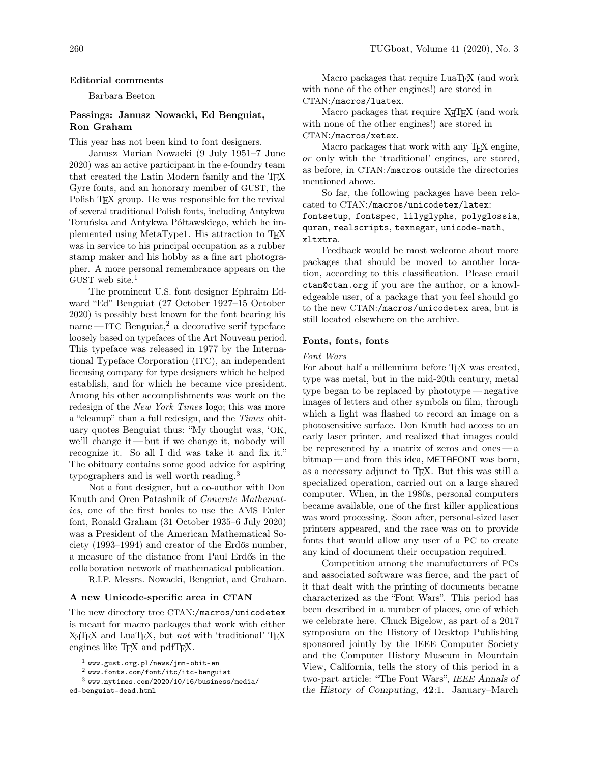### Editorial comments

Barbara Beeton

## Passings: Janusz Nowacki, Ed Benguiat, Ron Graham

This year has not been kind to font designers.

Janusz Marian Nowacki (9 July 1951–7 June 2020) was an active participant in the e-foundry team that created the Latin Modern family and the T<sub>E</sub>X Gyre fonts, and an honorary member of GUST, the Polish T<sub>F</sub>X group. He was responsible for the revival of several traditional Polish fonts, including Antykwa Toruńska and Antykwa Półtawskiego, which he implemented using MetaType1. His attraction to TFX was in service to his principal occupation as a rubber stamp maker and his hobby as a fine art photographer. A more personal remembrance appears on the GUST web site. $1$ 

The prominent U.S. font designer Ephraim Edward "Ed" Benguiat (27 October 1927–15 October 2020) is possibly best known for the font bearing his name—ITC Benguiat,<sup>[2](#page-0-1)</sup> a decorative serif typeface loosely based on typefaces of the Art Nouveau period. This typeface was released in 1977 by the International Typeface Corporation (ITC), an independent licensing company for type designers which he helped establish, and for which he became vice president. Among his other accomplishments was work on the redesign of the New York Times logo; this was more a "cleanup" than a full redesign, and the Times obituary quotes Benguiat thus: "My thought was, 'OK, we'll change it— but if we change it, nobody will recognize it. So all I did was take it and fix it." The obituary contains some good advice for aspiring typographers and is well worth reading.[3](#page-0-2)

Not a font designer, but a co-author with Don Knuth and Oren Patashnik of Concrete Mathematics, one of the first books to use the AMS Euler font, Ronald Graham (31 October 1935–6 July 2020) was a President of the American Mathematical Society (1993–1994) and creator of the Erdős number, a measure of the distance from Paul Erdős in the collaboration network of mathematical publication.

R.I.P. Messrs. Nowacki, Benguiat, and Graham.

## A new Unicode-specific area in CTAN

The new directory tree CTAN:/macros/unicodetex is meant for macro packages that work with either X<sub>T</sub>T<sub>E</sub>X and LuaT<sub>E</sub>X, but *not* with 'traditional' T<sub>E</sub>X engines like T<sub>E</sub>X and pdfT<sub>E</sub>X.

Macro packages that require LuaT<sub>EX</sub> (and work with none of the other engines!) are stored in CTAN:/macros/luatex.

Macro packages that require X<sub>HIE</sub>X (and work with none of the other engines!) are stored in CTAN:/macros/xetex.

Macro packages that work with any T<sub>EX</sub> engine, or only with the 'traditional' engines, are stored, as before, in CTAN:/macros outside the directories mentioned above.

So far, the following packages have been relocated to CTAN:/macros/unicodetex/latex: fontsetup, fontspec, lilyglyphs, polyglossia, quran, realscripts, texnegar, unicode-math, xltxtra.

Feedback would be most welcome about more packages that should be moved to another location, according to this classification. Please email ctan@ctan.org if you are the author, or a knowledgeable user, of a package that you feel should go to the new CTAN:/macros/unicodetex area, but is still located elsewhere on the archive.

### Fonts, fonts, fonts

#### Font Wars

For about half a millennium before T<sub>E</sub>X was created, type was metal, but in the mid-20th century, metal type began to be replaced by phototype— negative images of letters and other symbols on film, through which a light was flashed to record an image on a photosensitive surface. Don Knuth had access to an early laser printer, and realized that images could be represented by a matrix of zeros and ones— a bitmap — and from this idea, METAFONT was born, as a necessary adjunct to TEX. But this was still a specialized operation, carried out on a large shared computer. When, in the 1980s, personal computers became available, one of the first killer applications was word processing. Soon after, personal-sized laser printers appeared, and the race was on to provide fonts that would allow any user of a PC to create any kind of document their occupation required.

Competition among the manufacturers of PCs and associated software was fierce, and the part of it that dealt with the printing of documents became characterized as the "Font Wars". This period has been described in a number of places, one of which we celebrate here. Chuck Bigelow, as part of a 2017 symposium on the History of Desktop Publishing sponsored jointly by the IEEE Computer Society and the Computer History Museum in Mountain View, California, tells the story of this period in a two-part article: "The Font Wars", IEEE Annals of the History of Computing, 42:1. January–March

<span id="page-0-1"></span><span id="page-0-0"></span> $<sup>1</sup>$  [www.gust.org.pl/news/jmn-obit-en](https://www.gust.org.pl/news/jmn-obit-en)</sup>

<sup>2</sup> [www.fonts.com/font/itc/itc-benguiat](https://www.fonts.com/font/itc/itc-benguiat)

<span id="page-0-2"></span> $3$  [www.nytimes.com/2020/10/16/business/media/](https://www.nytimes.com/2020/10/16/business/media/ed-benguiat-dead.html)

[ed-benguiat-dead.html](https://www.nytimes.com/2020/10/16/business/media/ed-benguiat-dead.html)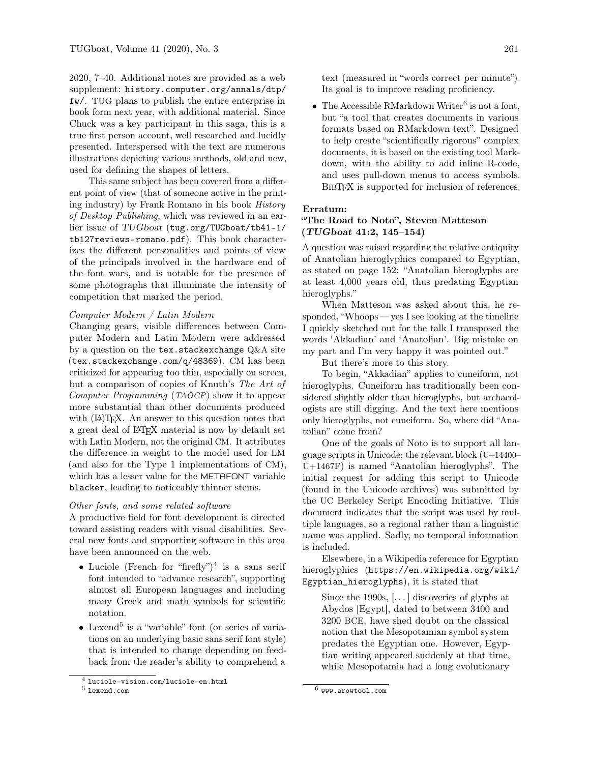2020, 7–40. Additional notes are provided as a web supplement: [history.computer.org/annals/dtp/](https://history.computer.org/annals/dtp/fw/) [fw/](https://history.computer.org/annals/dtp/fw/). TUG plans to publish the entire enterprise in book form next year, with additional material. Since Chuck was a key participant in this saga, this is a true first person account, well researched and lucidly presented. Interspersed with the text are numerous illustrations depicting various methods, old and new, used for defining the shapes of letters.

This same subject has been covered from a different point of view (that of someone active in the printing industry) by Frank Romano in his book History of Desktop Publishing, which was reviewed in an earlier issue of TUGboat ([tug.org/TUGboat/tb41-1/](https://tug.org/TUGboat/tb41-1/tb127reviews-romano.pdf) [tb127reviews-romano.pdf](https://tug.org/TUGboat/tb41-1/tb127reviews-romano.pdf)). This book characterizes the different personalities and points of view of the principals involved in the hardware end of the font wars, and is notable for the presence of some photographs that illuminate the intensity of competition that marked the period.

#### Computer Modern / Latin Modern

Changing gears, visible differences between Computer Modern and Latin Modern were addressed by a question on the tex.stackexchange Q&A site ([tex.stackexchange.com/q/48369](https://tex.stackexchange.com/q/48369)). CM has been criticized for appearing too thin, especially on screen, but a comparison of copies of Knuth's The Art of Computer Programming (TAOCP) show it to appear more substantial than other documents produced with (LA)T<sub>F</sub>X. An answer to this question notes that a great deal of LATEX material is now by default set with Latin Modern, not the original CM. It attributes the difference in weight to the model used for LM (and also for the Type 1 implementations of CM), which has a lesser value for the METAFONT variable blacker, leading to noticeably thinner stems.

## Other fonts, and some related software

A productive field for font development is directed toward assisting readers with visual disabilities. Several new fonts and supporting software in this area have been announced on the web.

- Luciole (French for "firefly")<sup>[4](#page-1-0)</sup> is a sans serif font intended to "advance research", supporting almost all European languages and including many Greek and math symbols for scientific notation.
- Lexend<sup>[5](#page-1-1)</sup> is a "variable" font (or series of variations on an underlying basic sans serif font style) that is intended to change depending on feedback from the reader's ability to comprehend a

text (measured in "words correct per minute"). Its goal is to improve reading proficiency.

• The Accessible RMarkdown Writer<sup>[6](#page-1-2)</sup> is not a font, but "a tool that creates documents in various formats based on RMarkdown text". Designed to help create "scientifically rigorous" complex documents, it is based on the existing tool Markdown, with the ability to add inline R-code, and uses pull-down menus to access symbols. BIBT<sub>EX</sub> is supported for inclusion of references.

## Erratum:

# "The Road to Noto", Steven Matteson (TUGboat 41:2, 145–154)

A question was raised regarding the relative antiquity of Anatolian hieroglyphics compared to Egyptian, as stated on page 152: "Anatolian hieroglyphs are at least 4,000 years old, thus predating Egyptian hieroglyphs."

When Matteson was asked about this, he responded, "Whoops — yes I see looking at the timeline I quickly sketched out for the talk I transposed the words 'Akkadian' and 'Anatolian'. Big mistake on my part and I'm very happy it was pointed out."

But there's more to this story.

To begin, "Akkadian" applies to cuneiform, not hieroglyphs. Cuneiform has traditionally been considered slightly older than hieroglyphs, but archaeologists are still digging. And the text here mentions only hieroglyphs, not cuneiform. So, where did "Anatolian" come from?

One of the goals of Noto is to support all language scripts in Unicode; the relevant block (U+14400– U+1467F) is named "Anatolian hieroglyphs". The initial request for adding this script to Unicode (found in the Unicode archives) was submitted by the UC Berkeley Script Encoding Initiative. This document indicates that the script was used by multiple languages, so a regional rather than a linguistic name was applied. Sadly, no temporal information is included.

Elsewhere, in a Wikipedia reference for Egyptian hieroglyphics ([https://en.wikipedia.org/wiki/](https://en.wikipedia.org/wiki/Egyptian_hieroglyphs) [Egyptian\\_hieroglyphs](https://en.wikipedia.org/wiki/Egyptian_hieroglyphs)), it is stated that

Since the 1990s, [. . . ] discoveries of glyphs at Abydos [Egypt], dated to between 3400 and 3200 BCE, have shed doubt on the classical notion that the Mesopotamian symbol system predates the Egyptian one. However, Egyptian writing appeared suddenly at that time, while Mesopotamia had a long evolutionary

<span id="page-1-0"></span><sup>4</sup> [luciole-vision.com/luciole-en.html](https://luciole-vision.com/luciole-en.html)

<span id="page-1-1"></span><sup>5</sup> [lexend.com](https://lexend.com)

<span id="page-1-2"></span> $^6$ [www.arowtool.com](http://www.arowtool.com)